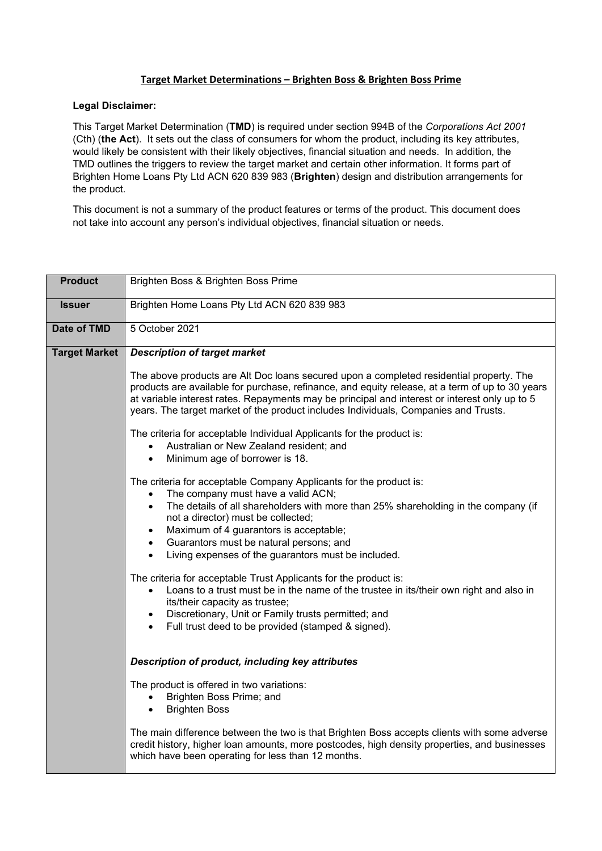## **Target Market Determinations – Brighten Boss & Brighten Boss Prime**

## **Legal Disclaimer:**

This Target Market Determination (**TMD**) is required under section 994B of the *Corporations Act 2001* (Cth) (**the Act**). It sets out the class of consumers for whom the product, including its key attributes, would likely be consistent with their likely objectives, financial situation and needs. In addition, the TMD outlines the triggers to review the target market and certain other information. It forms part of Brighten Home Loans Pty Ltd ACN 620 839 983 (**Brighten**) design and distribution arrangements for the product.

This document is not a summary of the product features or terms of the product. This document does not take into account any person's individual objectives, financial situation or needs.

| <b>Product</b>       | Brighten Boss & Brighten Boss Prime                                                                                                                                                                                                                                                                                                                                                                                                  |  |  |  |  |
|----------------------|--------------------------------------------------------------------------------------------------------------------------------------------------------------------------------------------------------------------------------------------------------------------------------------------------------------------------------------------------------------------------------------------------------------------------------------|--|--|--|--|
| <b>Issuer</b>        | Brighten Home Loans Pty Ltd ACN 620 839 983                                                                                                                                                                                                                                                                                                                                                                                          |  |  |  |  |
| <b>Date of TMD</b>   | 5 October 2021                                                                                                                                                                                                                                                                                                                                                                                                                       |  |  |  |  |
| <b>Target Market</b> | <b>Description of target market</b>                                                                                                                                                                                                                                                                                                                                                                                                  |  |  |  |  |
|                      | The above products are Alt Doc loans secured upon a completed residential property. The<br>products are available for purchase, refinance, and equity release, at a term of up to 30 years<br>at variable interest rates. Repayments may be principal and interest or interest only up to 5<br>years. The target market of the product includes Individuals, Companies and Trusts.                                                   |  |  |  |  |
|                      | The criteria for acceptable Individual Applicants for the product is:<br>Australian or New Zealand resident; and<br>Minimum age of borrower is 18.<br>$\bullet$                                                                                                                                                                                                                                                                      |  |  |  |  |
|                      | The criteria for acceptable Company Applicants for the product is:<br>The company must have a valid ACN;<br>$\bullet$<br>The details of all shareholders with more than 25% shareholding in the company (if<br>$\bullet$<br>not a director) must be collected;<br>Maximum of 4 guarantors is acceptable;<br>$\bullet$<br>Guarantors must be natural persons; and<br>$\bullet$<br>Living expenses of the guarantors must be included. |  |  |  |  |
|                      | The criteria for acceptable Trust Applicants for the product is:<br>Loans to a trust must be in the name of the trustee in its/their own right and also in<br>$\bullet$<br>its/their capacity as trustee;<br>Discretionary, Unit or Family trusts permitted; and<br>$\bullet$<br>Full trust deed to be provided (stamped & signed).<br>$\bullet$                                                                                     |  |  |  |  |
|                      | Description of product, including key attributes                                                                                                                                                                                                                                                                                                                                                                                     |  |  |  |  |
|                      | The product is offered in two variations:<br>Brighten Boss Prime; and<br><b>Brighten Boss</b><br>$\bullet$                                                                                                                                                                                                                                                                                                                           |  |  |  |  |
|                      | The main difference between the two is that Brighten Boss accepts clients with some adverse<br>credit history, higher loan amounts, more postcodes, high density properties, and businesses<br>which have been operating for less than 12 months.                                                                                                                                                                                    |  |  |  |  |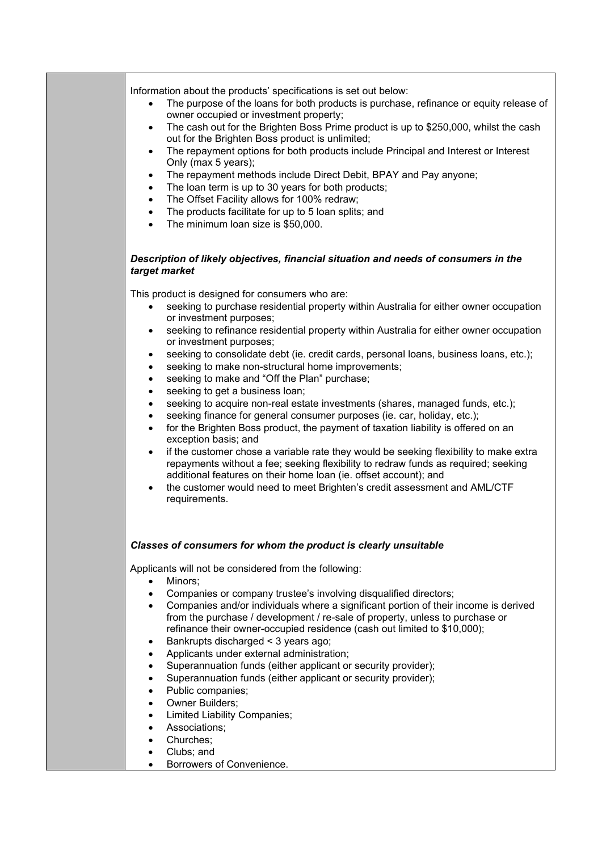| Information about the products' specifications is set out below:<br>The purpose of the loans for both products is purchase, refinance or equity release of<br>$\bullet$<br>owner occupied or investment property;<br>The cash out for the Brighten Boss Prime product is up to \$250,000, whilst the cash<br>$\bullet$<br>out for the Brighten Boss product is unlimited;<br>The repayment options for both products include Principal and Interest or Interest<br>$\bullet$<br>Only (max 5 years);<br>The repayment methods include Direct Debit, BPAY and Pay anyone;<br>$\bullet$<br>The loan term is up to 30 years for both products;<br>$\bullet$<br>The Offset Facility allows for 100% redraw;<br>$\bullet$<br>The products facilitate for up to 5 loan splits; and<br>$\bullet$<br>The minimum loan size is \$50,000.<br>$\bullet$                                                                                                                                                                                                                                                                                                                                                                                                          |
|------------------------------------------------------------------------------------------------------------------------------------------------------------------------------------------------------------------------------------------------------------------------------------------------------------------------------------------------------------------------------------------------------------------------------------------------------------------------------------------------------------------------------------------------------------------------------------------------------------------------------------------------------------------------------------------------------------------------------------------------------------------------------------------------------------------------------------------------------------------------------------------------------------------------------------------------------------------------------------------------------------------------------------------------------------------------------------------------------------------------------------------------------------------------------------------------------------------------------------------------------|
| Description of likely objectives, financial situation and needs of consumers in the<br>target market                                                                                                                                                                                                                                                                                                                                                                                                                                                                                                                                                                                                                                                                                                                                                                                                                                                                                                                                                                                                                                                                                                                                                 |
| This product is designed for consumers who are:<br>seeking to purchase residential property within Australia for either owner occupation<br>$\bullet$<br>or investment purposes;<br>seeking to refinance residential property within Australia for either owner occupation<br>or investment purposes;<br>seeking to consolidate debt (ie. credit cards, personal loans, business loans, etc.);<br>$\bullet$<br>seeking to make non-structural home improvements;<br>٠<br>seeking to make and "Off the Plan" purchase;<br>٠<br>seeking to get a business loan;<br>٠<br>seeking to acquire non-real estate investments (shares, managed funds, etc.);<br>٠<br>seeking finance for general consumer purposes (ie. car, holiday, etc.);<br>$\bullet$<br>for the Brighten Boss product, the payment of taxation liability is offered on an<br>$\bullet$<br>exception basis; and<br>if the customer chose a variable rate they would be seeking flexibility to make extra<br>$\bullet$<br>repayments without a fee; seeking flexibility to redraw funds as required; seeking<br>additional features on their home loan (ie. offset account); and<br>the customer would need to meet Brighten's credit assessment and AML/CTF<br>$\bullet$<br>requirements. |
| Classes of consumers for whom the product is clearly unsuitable                                                                                                                                                                                                                                                                                                                                                                                                                                                                                                                                                                                                                                                                                                                                                                                                                                                                                                                                                                                                                                                                                                                                                                                      |
| Applicants will not be considered from the following:<br>Minors;<br>$\bullet$<br>Companies or company trustee's involving disqualified directors;<br>$\bullet$<br>Companies and/or individuals where a significant portion of their income is derived<br>$\bullet$<br>from the purchase / development / re-sale of property, unless to purchase or<br>refinance their owner-occupied residence (cash out limited to \$10,000);<br>Bankrupts discharged < 3 years ago;<br>٠<br>Applicants under external administration;<br>$\bullet$<br>Superannuation funds (either applicant or security provider);<br>$\bullet$<br>Superannuation funds (either applicant or security provider);<br>$\bullet$<br>Public companies;<br>$\bullet$<br>Owner Builders;<br>$\bullet$<br><b>Limited Liability Companies;</b><br>$\bullet$<br>Associations;<br>$\bullet$<br>Churches;<br>$\bullet$<br>Clubs; and<br>٠<br>Borrowers of Convenience.                                                                                                                                                                                                                                                                                                                       |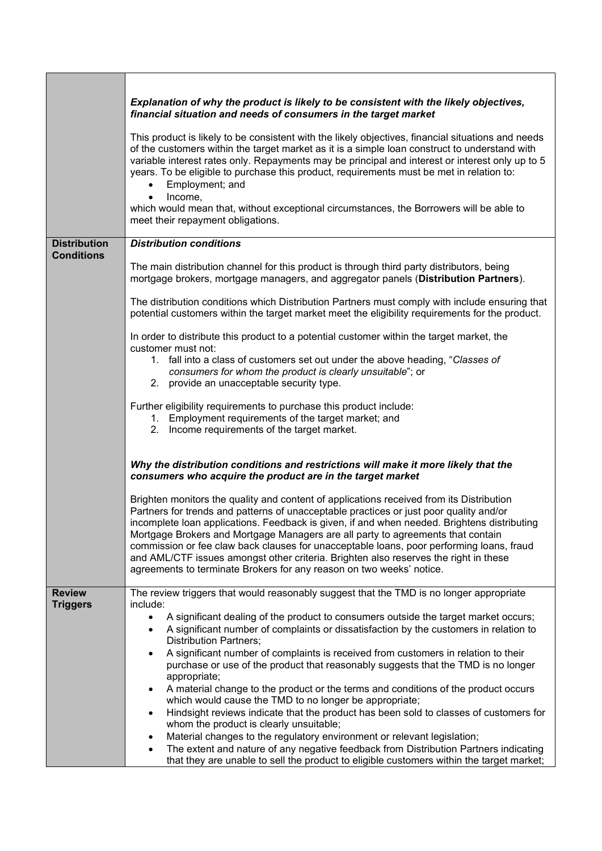|                                          | Explanation of why the product is likely to be consistent with the likely objectives,<br>financial situation and needs of consumers in the target market<br>This product is likely to be consistent with the likely objectives, financial situations and needs<br>of the customers within the target market as it is a simple loan construct to understand with<br>variable interest rates only. Repayments may be principal and interest or interest only up to 5<br>years. To be eligible to purchase this product, requirements must be met in relation to:<br>Employment; and<br>Income,<br>$\bullet$<br>which would mean that, without exceptional circumstances, the Borrowers will be able to<br>meet their repayment obligations.                                                                                                                                                                                                                                                                                                                                                                                                                                                                                                                                                                                                                                                                                                                                                                                                                                                                                                                                                                    |
|------------------------------------------|--------------------------------------------------------------------------------------------------------------------------------------------------------------------------------------------------------------------------------------------------------------------------------------------------------------------------------------------------------------------------------------------------------------------------------------------------------------------------------------------------------------------------------------------------------------------------------------------------------------------------------------------------------------------------------------------------------------------------------------------------------------------------------------------------------------------------------------------------------------------------------------------------------------------------------------------------------------------------------------------------------------------------------------------------------------------------------------------------------------------------------------------------------------------------------------------------------------------------------------------------------------------------------------------------------------------------------------------------------------------------------------------------------------------------------------------------------------------------------------------------------------------------------------------------------------------------------------------------------------------------------------------------------------------------------------------------------------|
| <b>Distribution</b><br><b>Conditions</b> | <b>Distribution conditions</b><br>The main distribution channel for this product is through third party distributors, being<br>mortgage brokers, mortgage managers, and aggregator panels (Distribution Partners).<br>The distribution conditions which Distribution Partners must comply with include ensuring that<br>potential customers within the target market meet the eligibility requirements for the product.<br>In order to distribute this product to a potential customer within the target market, the<br>customer must not:<br>1. fall into a class of customers set out under the above heading, "Classes of<br>consumers for whom the product is clearly unsuitable"; or<br>2. provide an unacceptable security type.<br>Further eligibility requirements to purchase this product include:<br>1. Employment requirements of the target market; and<br>2. Income requirements of the target market.<br>Why the distribution conditions and restrictions will make it more likely that the<br>consumers who acquire the product are in the target market<br>Brighten monitors the quality and content of applications received from its Distribution<br>Partners for trends and patterns of unacceptable practices or just poor quality and/or<br>incomplete loan applications. Feedback is given, if and when needed. Brightens distributing<br>Mortgage Brokers and Mortgage Managers are all party to agreements that contain<br>commission or fee claw back clauses for unacceptable loans, poor performing loans, fraud<br>and AML/CTF issues amongst other criteria. Brighten also reserves the right in these<br>agreements to terminate Brokers for any reason on two weeks' notice. |
| <b>Review</b><br><b>Triggers</b>         | The review triggers that would reasonably suggest that the TMD is no longer appropriate<br>include:<br>A significant dealing of the product to consumers outside the target market occurs;<br>A significant number of complaints or dissatisfaction by the customers in relation to<br><b>Distribution Partners;</b><br>A significant number of complaints is received from customers in relation to their<br>purchase or use of the product that reasonably suggests that the TMD is no longer<br>appropriate;<br>A material change to the product or the terms and conditions of the product occurs<br>which would cause the TMD to no longer be appropriate;<br>Hindsight reviews indicate that the product has been sold to classes of customers for<br>whom the product is clearly unsuitable;<br>Material changes to the regulatory environment or relevant legislation;<br>The extent and nature of any negative feedback from Distribution Partners indicating<br>$\bullet$<br>that they are unable to sell the product to eligible customers within the target market;                                                                                                                                                                                                                                                                                                                                                                                                                                                                                                                                                                                                                              |